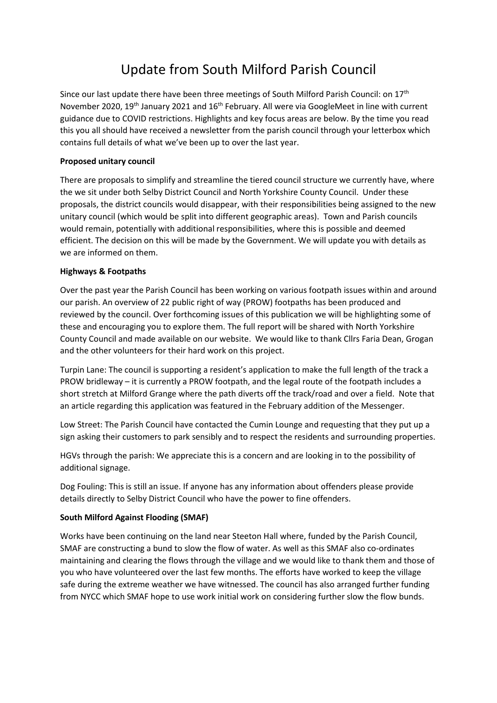# Update from South Milford Parish Council

Since our last update there have been three meetings of South Milford Parish Council: on 17<sup>th</sup> November 2020, 19<sup>th</sup> January 2021 and 16<sup>th</sup> February. All were via GoogleMeet in line with current guidance due to COVID restrictions. Highlights and key focus areas are below. By the time you read this you all should have received a newsletter from the parish council through your letterbox which contains full details of what we've been up to over the last year.

# **Proposed unitary council**

There are proposals to simplify and streamline the tiered council structure we currently have, where the we sit under both Selby District Council and North Yorkshire County Council. Under these proposals, the district councils would disappear, with their responsibilities being assigned to the new unitary council (which would be split into different geographic areas). Town and Parish councils would remain, potentially with additional responsibilities, where this is possible and deemed efficient. The decision on this will be made by the Government. We will update you with details as we are informed on them.

# **Highways & Footpaths**

Over the past year the Parish Council has been working on various footpath issues within and around our parish. An overview of 22 public right of way (PROW) footpaths has been produced and reviewed by the council. Over forthcoming issues of this publication we will be highlighting some of these and encouraging you to explore them. The full report will be shared with North Yorkshire County Council and made available on our website. We would like to thank Cllrs Faria Dean, Grogan and the other volunteers for their hard work on this project.

Turpin Lane: The council is supporting a resident's application to make the full length of the track a PROW bridleway – it is currently a PROW footpath, and the legal route of the footpath includes a short stretch at Milford Grange where the path diverts off the track/road and over a field. Note that an article regarding this application was featured in the February addition of the Messenger.

Low Street: The Parish Council have contacted the Cumin Lounge and requesting that they put up a sign asking their customers to park sensibly and to respect the residents and surrounding properties.

HGVs through the parish: We appreciate this is a concern and are looking in to the possibility of additional signage.

Dog Fouling: This is still an issue. If anyone has any information about offenders please provide details directly to Selby District Council who have the power to fine offenders.

# **South Milford Against Flooding (SMAF)**

Works have been continuing on the land near Steeton Hall where, funded by the Parish Council, SMAF are constructing a bund to slow the flow of water. As well as this SMAF also co-ordinates maintaining and clearing the flows through the village and we would like to thank them and those of you who have volunteered over the last few months. The efforts have worked to keep the village safe during the extreme weather we have witnessed. The council has also arranged further funding from NYCC which SMAF hope to use work initial work on considering further slow the flow bunds.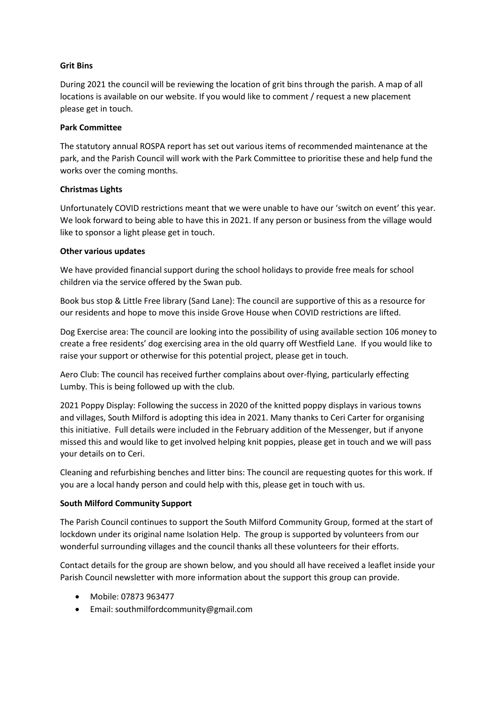#### **Grit Bins**

During 2021 the council will be reviewing the location of grit bins through the parish. A map of all locations is available on our website. If you would like to comment / request a new placement please get in touch.

#### **Park Committee**

The statutory annual ROSPA report has set out various items of recommended maintenance at the park, and the Parish Council will work with the Park Committee to prioritise these and help fund the works over the coming months.

## **Christmas Lights**

Unfortunately COVID restrictions meant that we were unable to have our 'switch on event' this year. We look forward to being able to have this in 2021. If any person or business from the village would like to sponsor a light please get in touch.

## **Other various updates**

We have provided financial support during the school holidays to provide free meals for school children via the service offered by the Swan pub.

Book bus stop & Little Free library (Sand Lane): The council are supportive of this as a resource for our residents and hope to move this inside Grove House when COVID restrictions are lifted.

Dog Exercise area: The council are looking into the possibility of using available section 106 money to create a free residents' dog exercising area in the old quarry off Westfield Lane. If you would like to raise your support or otherwise for this potential project, please get in touch.

Aero Club: The council has received further complains about over-flying, particularly effecting Lumby. This is being followed up with the club.

2021 Poppy Display: Following the success in 2020 of the knitted poppy displays in various towns and villages, South Milford is adopting this idea in 2021. Many thanks to Ceri Carter for organising this initiative. Full details were included in the February addition of the Messenger, but if anyone missed this and would like to get involved helping knit poppies, please get in touch and we will pass your details on to Ceri.

Cleaning and refurbishing benches and litter bins: The council are requesting quotes for this work. If you are a local handy person and could help with this, please get in touch with us.

#### **South Milford Community Support**

The Parish Council continues to support the South Milford Community Group, formed at the start of lockdown under its original name Isolation Help. The group is supported by volunteers from our wonderful surrounding villages and the council thanks all these volunteers for their efforts.

Contact details for the group are shown below, and you should all have received a leaflet inside your Parish Council newsletter with more information about the support this group can provide.

- Mobile: 07873 963477
- Email: southmilfordcommunity@gmail.com